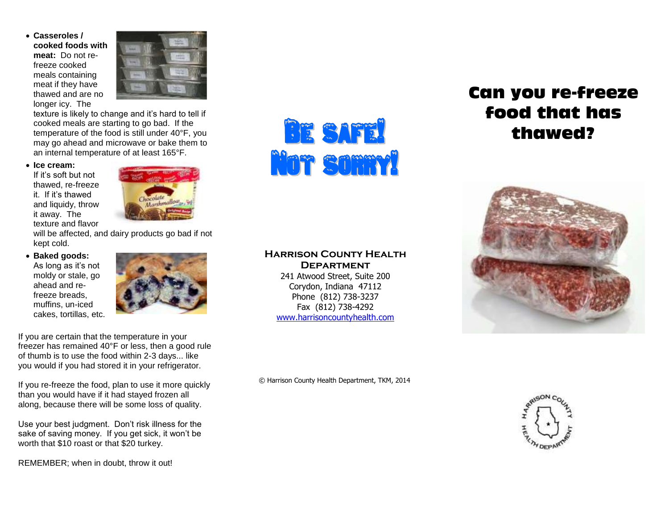**Casseroles / cooked foods with meat:** Do not refreeze cooked meals containing meat if they have thawed and are no longer icy. The



texture is likely to change and it's hard to tell if cooked meals are starting to go bad. If the temperature of the food is still under 40°F, you may go ahead and microwave or bake them to an internal temperature of at least 165°F.

**Ice cream:**

If it's soft but not thawed, re-freeze it. If it's thawed and liquidy, throw it away. The texture and flavor



will be affected, and dairy products go bad if not kept cold.

 **Baked goods:** As long as it's not

moldy or stale, go ahead and refreeze breads, muffins, un-iced cakes, tortillas, etc.



If you are certain that the temperature in your freezer has remained 40°F or less, then a good rule of thumb is to use the food within 2-3 days... like you would if you had stored it in your refrigerator.

If you re-freeze the food, plan to use it more quickly than you would have if it had stayed frozen all along, because there will be some loss of quality.

Use your best judgment. Don't risk illness for the sake of saving money. If you get sick, it won't be worth that \$10 roast or that \$20 turkey.

REMEMBER; when in doubt, throw it out!



#### **Harrison County Health Department**

241 Atwood Street, Suite 200 Corydon, Indiana 47112 Phone (812) 738-3237 Fax (812) 738-4292 [www.harrisoncountyhealth.com](http://www.harrisoncountyhealth.com/)

# Can you re-freeze food that has thawed?



© Harrison County Health Department, TKM, 2014